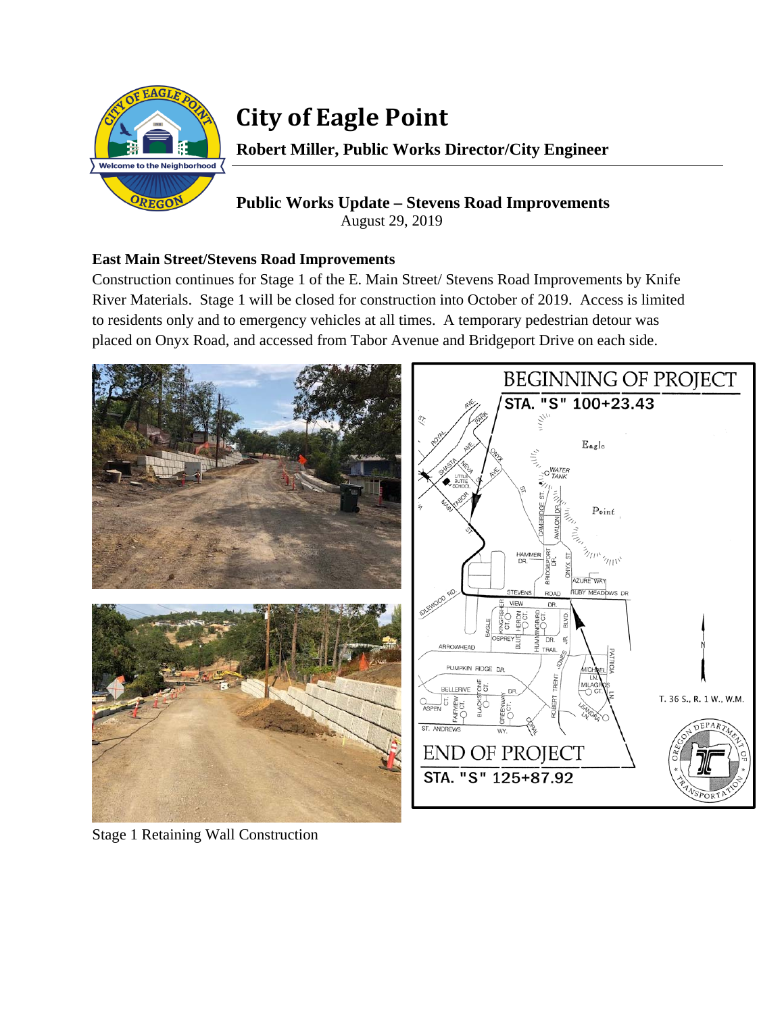

# **City of Eagle Point**

**Robert Miller, Public Works Director/City Engineer** 

## **Public Works Update – Stevens Road Improvements**  August 29, 2019

### **East Main Street/Stevens Road Improvements**

Construction continues for Stage 1 of the E. Main Street/ Stevens Road Improvements by Knife River Materials. Stage 1 will be closed for construction into October of 2019. Access is limited to residents only and to emergency vehicles at all times. A temporary pedestrian detour was placed on Onyx Road, and accessed from Tabor Avenue and Bridgeport Drive on each side.



Stage 1 Retaining Wall Construction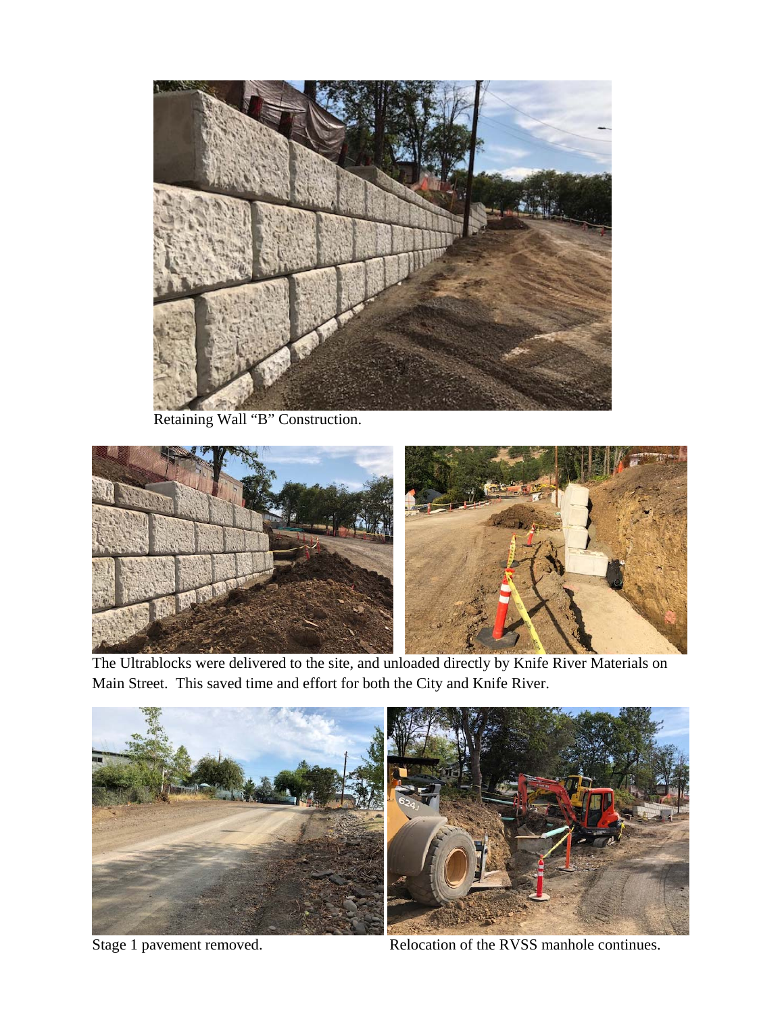

Retaining Wall "B" Construction.



The Ultrablocks were delivered to the site, and unloaded directly by Knife River Materials on Main Street. This saved time and effort for both the City and Knife River.



Stage 1 pavement removed. Relocation of the RVSS manhole continues.